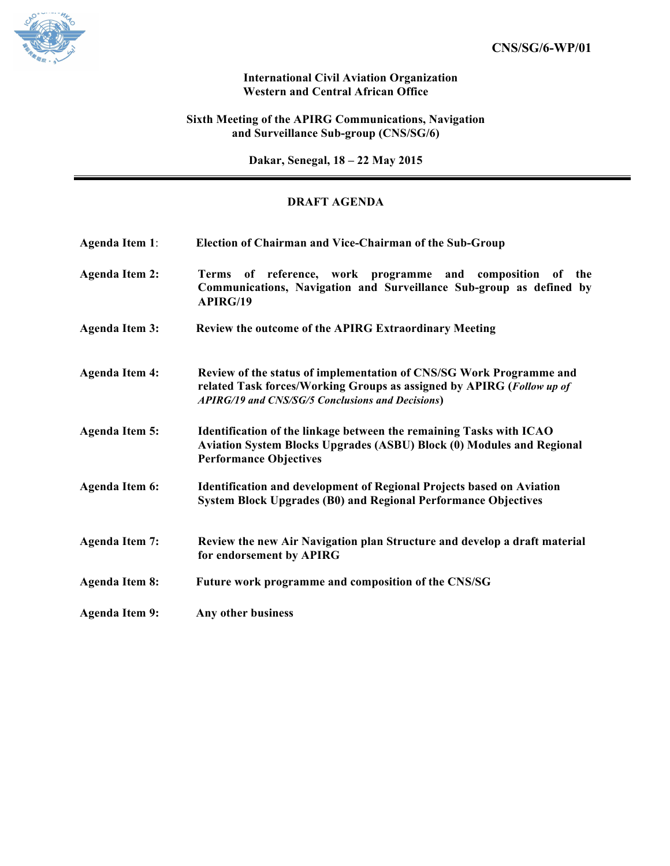

## **International Civil Aviation Organization Western and Central African Office**

## **Sixth Meeting of the APIRG Communications, Navigation and Surveillance Sub-group (CNS/SG/6)**

**Dakar, Senegal, 18 – 22 May 2015**

# **DRAFT AGENDA**

| <b>Agenda Item 1:</b> | Election of Chairman and Vice-Chairman of the Sub-Group                                                                                                                                          |
|-----------------------|--------------------------------------------------------------------------------------------------------------------------------------------------------------------------------------------------|
| <b>Agenda Item 2:</b> | Terms of reference, work programme and composition of the<br>Communications, Navigation and Surveillance Sub-group as defined by<br><b>APIRG/19</b>                                              |
| <b>Agenda Item 3:</b> | Review the outcome of the APIRG Extraordinary Meeting                                                                                                                                            |
| <b>Agenda Item 4:</b> | Review of the status of implementation of CNS/SG Work Programme and<br>related Task forces/Working Groups as assigned by APIRG (Follow up of<br>APIRG/19 and CNS/SG/5 Conclusions and Decisions) |
| <b>Agenda Item 5:</b> | Identification of the linkage between the remaining Tasks with ICAO<br>Aviation System Blocks Upgrades (ASBU) Block (0) Modules and Regional<br><b>Performance Objectives</b>                    |
| <b>Agenda Item 6:</b> | <b>Identification and development of Regional Projects based on Aviation</b><br><b>System Block Upgrades (B0) and Regional Performance Objectives</b>                                            |
| <b>Agenda Item 7:</b> | Review the new Air Navigation plan Structure and develop a draft material<br>for endorsement by APIRG                                                                                            |
| <b>Agenda Item 8:</b> | Future work programme and composition of the CNS/SG                                                                                                                                              |
| <b>Agenda Item 9:</b> | Any other business                                                                                                                                                                               |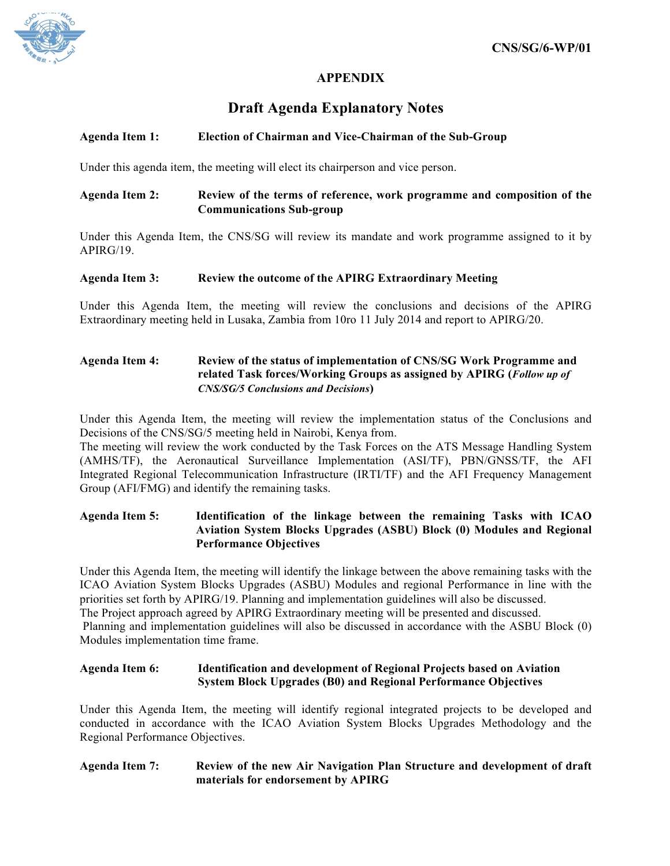

# **APPENDIX**

# **Draft Agenda Explanatory Notes**

## **Agenda Item 1: Election of Chairman and Vice-Chairman of the Sub-Group**

Under this agenda item, the meeting will elect its chairperson and vice person.

## **Agenda Item 2: Review of the terms of reference, work programme and composition of the Communications Sub-group**

Under this Agenda Item, the CNS/SG will review its mandate and work programme assigned to it by APIRG/19.

#### **Agenda Item 3: Review the outcome of the APIRG Extraordinary Meeting**

Under this Agenda Item, the meeting will review the conclusions and decisions of the APIRG Extraordinary meeting held in Lusaka, Zambia from 10ro 11 July 2014 and report to APIRG/20.

## **Agenda Item 4: Review of the status of implementation of CNS/SG Work Programme and related Task forces/Working Groups as assigned by APIRG (***Follow up of CNS/SG/5 Conclusions and Decisions***)**

Under this Agenda Item, the meeting will review the implementation status of the Conclusions and Decisions of the CNS/SG/5 meeting held in Nairobi, Kenya from.

The meeting will review the work conducted by the Task Forces on the ATS Message Handling System (AMHS/TF), the Aeronautical Surveillance Implementation (ASI/TF), PBN/GNSS/TF, the AFI Integrated Regional Telecommunication Infrastructure (IRTI/TF) and the AFI Frequency Management Group (AFI/FMG) and identify the remaining tasks.

**Agenda Item 5: Identification of the linkage between the remaining Tasks with ICAO Aviation System Blocks Upgrades (ASBU) Block (0) Modules and Regional Performance Objectives**

Under this Agenda Item, the meeting will identify the linkage between the above remaining tasks with the ICAO Aviation System Blocks Upgrades (ASBU) Modules and regional Performance in line with the priorities set forth by APIRG/19. Planning and implementation guidelines will also be discussed. The Project approach agreed by APIRG Extraordinary meeting will be presented and discussed. Planning and implementation guidelines will also be discussed in accordance with the ASBU Block (0) Modules implementation time frame.

## **Agenda Item 6: Identification and development of Regional Projects based on Aviation System Block Upgrades (B0) and Regional Performance Objectives**

Under this Agenda Item, the meeting will identify regional integrated projects to be developed and conducted in accordance with the ICAO Aviation System Blocks Upgrades Methodology and the Regional Performance Objectives.

#### **Agenda Item 7: Review of the new Air Navigation Plan Structure and development of draft materials for endorsement by APIRG**